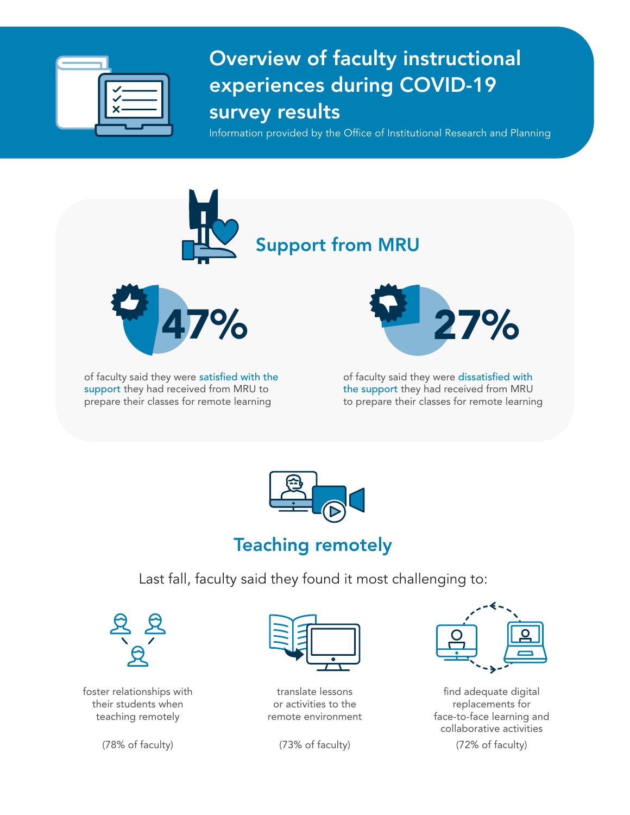

## Overview of faculty instructional experiences during COVID-19 survey results

Information provided by the Office of Institutional Research and Planning



support they had received from MRU to prepare their classes for remote learning

the support they had received from MRU to prepare their classes for remote learning



## Teaching remotely

Last fall, faculty said they found it most challenging to:



foster relationships with their students when teaching remotely



translate lessons or activities to the remote environment

(78% of faculty) (73% of faculty) (72% of faculty)



find adequate digital replacements for face-to-face learning and collaborative activities